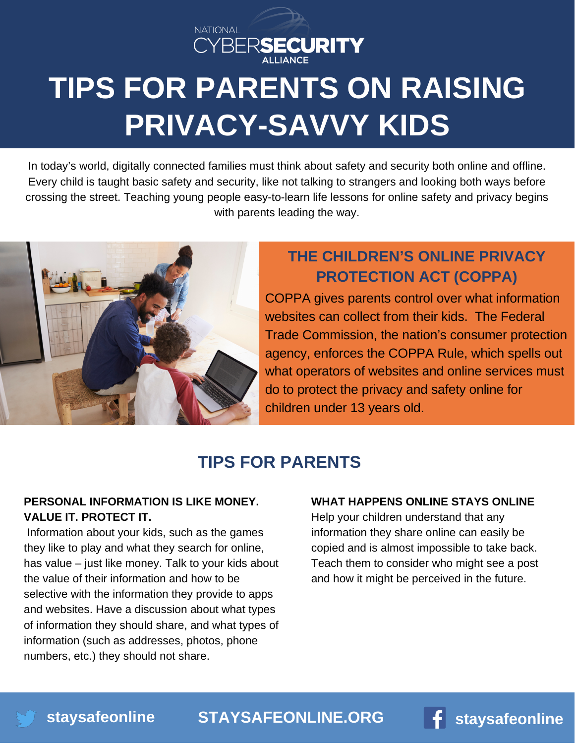

# **TIPS FOR PARENTS ON RAISING PRIVACY-SAVVY KIDS**

In today's world, digitally connected families must think about safety and security both online and offline. Every child is taught basic safety and security, like not talking to strangers and looking both ways before crossing the street. Teaching young people easy-to-learn life lessons for online safety and privacy begins with parents leading the way.



## **THE CHILDREN'S ONLINE PRIVACY PROTECTION ACT (COPPA)**

COPPA gives parents control over what information websites can collect from their kids. The Federal Trade [Commission,](https://www.irs.gov/newsroom/dirty-dozen) the nation's consumer protection agency, enforces the COPPA Rule, which spells out what operators of websites and online services must do to protect the privacy and safety online for children under 13 years old.

## **TIPS FOR PARENTS**

## **PERSONAL INFORMATION IS LIKE MONEY. VALUE IT. PROTECT IT.**

Information about your kids, such as the games they like to play and what they search for online, has value – just like money. Talk to your kids about the value of their information and how to be selective with the information they provide to apps and websites. Have a discussion about what types of information they should share, and what types of information (such as addresses, photos, phone numbers, etc.) they should not share.

#### **WHAT HAPPENS ONLINE STAYS ONLINE**

Help your children understand that any information they share online can easily be copied and is almost impossible to take back. Teach them to consider who might see a post and how it might be perceived in the future.

**[STAYSAFEONLINE.ORG](http://staysafeonline.org/) [staysafeonline](http://facebook.com/staysafeonline)**